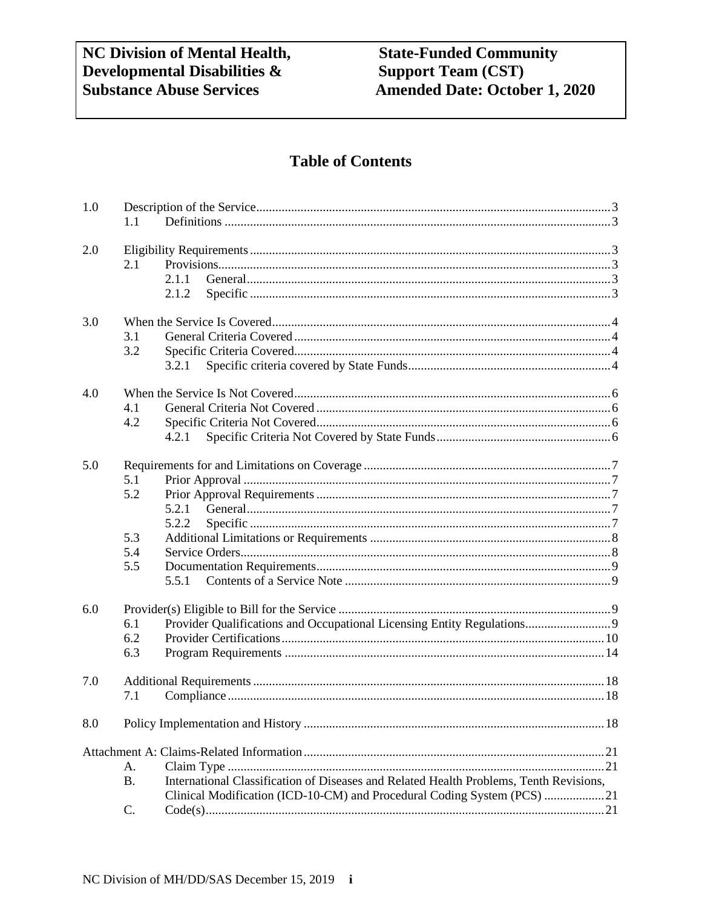# **Table of Contents**

| 1.0 | 1.1                                                                                                             |
|-----|-----------------------------------------------------------------------------------------------------------------|
| 2.0 | 2.1<br>2.1.1<br>2.1.2                                                                                           |
| 3.0 | 3.1<br>3.2<br>3.2.1                                                                                             |
| 4.0 | 4.1<br>4.2<br>4.2.1                                                                                             |
| 5.0 | 5.1<br>5.2<br>5.2.1<br>5.2.2<br>5.3<br>5.4<br>5.5<br>5.5.1                                                      |
| 6.0 | Provider Qualifications and Occupational Licensing Entity Regulations 9<br>6.1<br>6.2<br>6.3                    |
| 7.0 | 7.1                                                                                                             |
| 8.0 |                                                                                                                 |
|     | А.<br>International Classification of Diseases and Related Health Problems, Tenth Revisions,<br><b>B.</b><br>C. |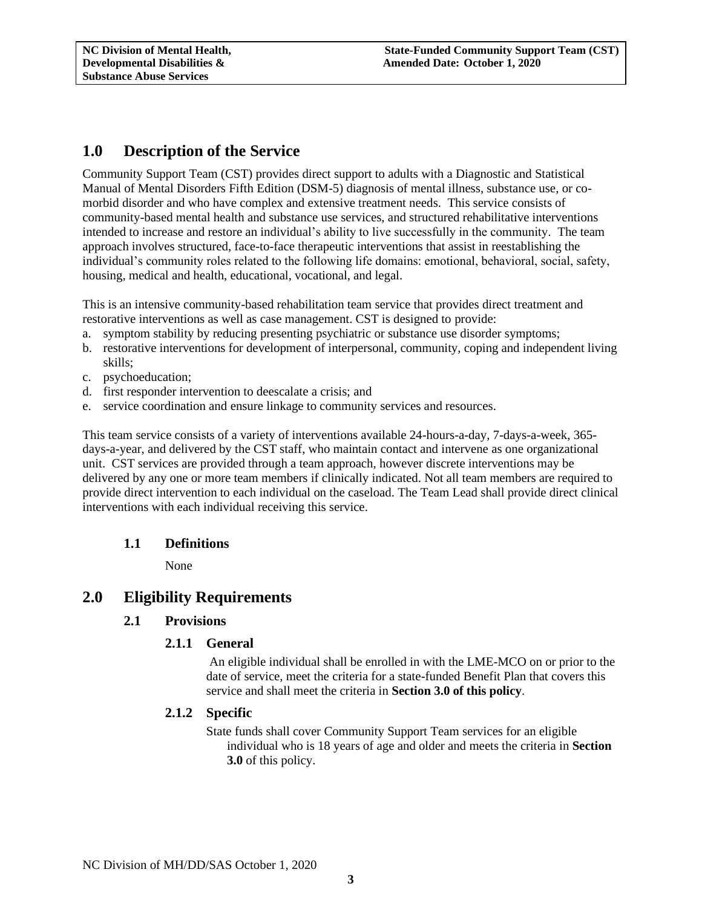# <span id="page-2-0"></span>**1.0 Description of the Service**

Community Support Team (CST) provides direct support to adults with a Diagnostic and Statistical Manual of Mental Disorders Fifth Edition (DSM-5) diagnosis of mental illness, substance use, or comorbid disorder and who have complex and extensive treatment needs. This service consists of community-based mental health and substance use services, and structured rehabilitative interventions intended to increase and restore an individual's ability to live successfully in the community. The team approach involves structured, face-to-face therapeutic interventions that assist in reestablishing the individual's community roles related to the following life domains: emotional, behavioral, social, safety, housing, medical and health, educational, vocational, and legal.

This is an intensive community-based rehabilitation team service that provides direct treatment and restorative interventions as well as case management. CST is designed to provide:

- a. symptom stability by reducing presenting psychiatric or substance use disorder symptoms;
- b. restorative interventions for development of interpersonal, community, coping and independent living skills;
- c. psychoeducation;
- d. first responder intervention to deescalate a crisis; and
- e. service coordination and ensure linkage to community services and resources.

This team service consists of a variety of interventions available 24-hours-a-day, 7-days-a-week, 365 days-a-year, and delivered by the CST staff, who maintain contact and intervene as one organizational unit. CST services are provided through a team approach, however discrete interventions may be delivered by any one or more team members if clinically indicated. Not all team members are required to provide direct intervention to each individual on the caseload. The Team Lead shall provide direct clinical interventions with each individual receiving this service.

#### <span id="page-2-1"></span>**1.1 Definitions**

None

# <span id="page-2-4"></span><span id="page-2-3"></span><span id="page-2-2"></span>**2.0 Eligibility Requirements**

### **2.1 Provisions**

### **2.1.1 General**

An eligible individual shall be enrolled in with the LME-MCO on or prior to the date of service, meet the criteria for a state-funded Benefit Plan that covers this service and shall meet the criteria in **Section 3.0 of this policy**.

#### <span id="page-2-5"></span>**2.1.2 Specific**

State funds shall cover Community Support Team services for an eligible individual who is 18 years of age and older and meets the criteria in **Section 3.0** of this policy.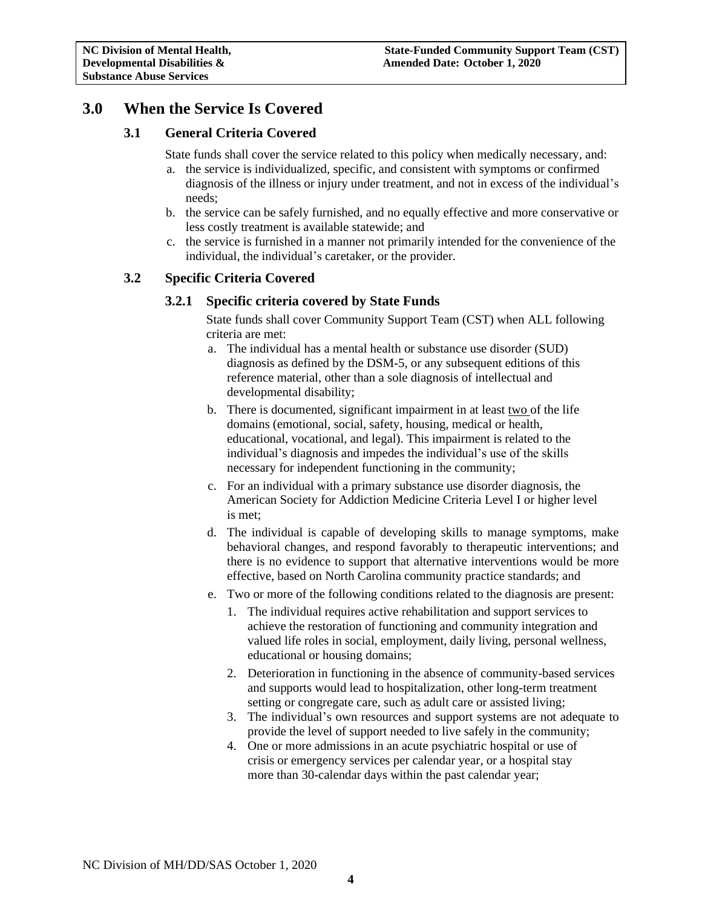# <span id="page-3-1"></span><span id="page-3-0"></span>**3.0 When the Service Is Covered**

## **3.1 General Criteria Covered**

State funds shall cover the service related to this policy when medically necessary, and:

- a. the service is individualized, specific, and consistent with symptoms or confirmed diagnosis of the illness or injury under treatment, and not in excess of the individual's needs;
- b. the service can be safely furnished, and no equally effective and more conservative or less costly treatment is available statewide; and
- c. the service is furnished in a manner not primarily intended for the convenience of the individual, the individual's caretaker, or the provider.

# <span id="page-3-3"></span><span id="page-3-2"></span>**3.2 Specific Criteria Covered**

### **3.2.1 Specific criteria covered by State Funds**

State funds shall cover Community Support Team (CST) when ALL following criteria are met:

- a. The individual has a mental health or substance use disorder (SUD) diagnosis as defined by the DSM-5, or any subsequent editions of this reference material, other than a sole diagnosis of intellectual and developmental disability;
- b. There is documented, significant impairment in at least two of the life domains (emotional, social, safety, housing, medical or health, educational, vocational, and legal). This impairment is related to the individual's diagnosis and impedes the individual's use of the skills necessary for independent functioning in the community;
- c. For an individual with a primary substance use disorder diagnosis, the American Society for Addiction Medicine Criteria Level I or higher level is met;
- d. The individual is capable of developing skills to manage symptoms, make behavioral changes, and respond favorably to therapeutic interventions; and there is no evidence to support that alternative interventions would be more effective, based on North Carolina community practice standards; and
- e. Two or more of the following conditions related to the diagnosis are present:
	- 1. The individual requires active rehabilitation and support services to achieve the restoration of functioning and community integration and valued life roles in social, employment, daily living, personal wellness, educational or housing domains;
	- 2. Deterioration in functioning in the absence of community-based services and supports would lead to hospitalization, other long-term treatment setting or congregate care, such as adult care or assisted living;
	- 3. The individual's own resources and support systems are not adequate to provide the level of support needed to live safely in the community;
	- 4. One or more admissions in an acute psychiatric hospital or use of crisis or emergency services per calendar year, or a hospital stay more than 30-calendar days within the past calendar year;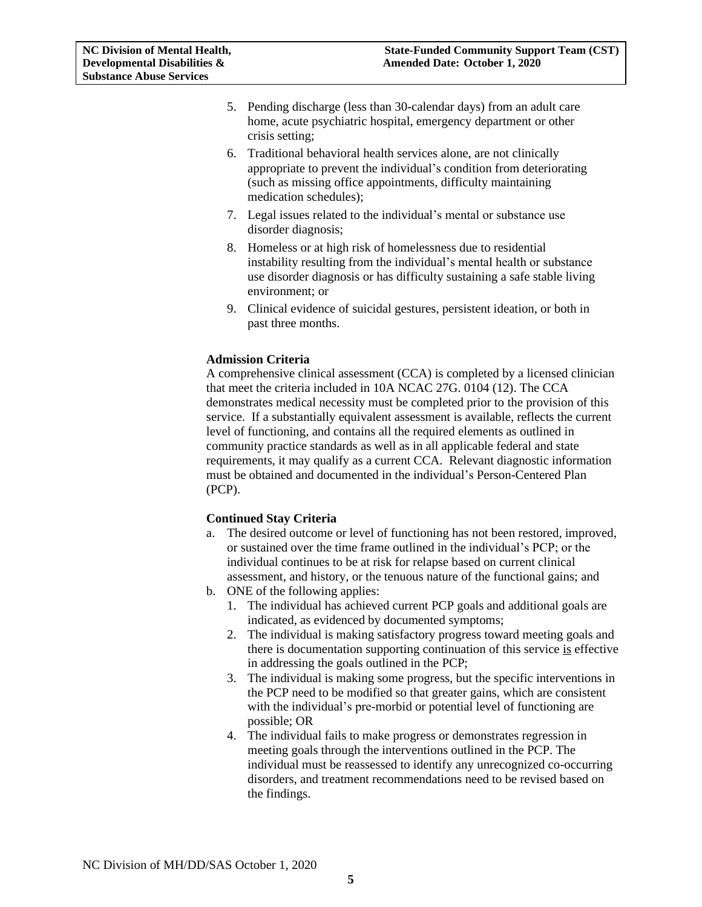- 5. Pending discharge (less than 30-calendar days) from an adult care home, acute psychiatric hospital, emergency department or other crisis setting;
- 6. Traditional behavioral health services alone, are not clinically appropriate to prevent the individual's condition from deteriorating (such as missing office appointments, difficulty maintaining medication schedules);
- 7. Legal issues related to the individual's mental or substance use disorder diagnosis;
- 8. Homeless or at high risk of homelessness due to residential instability resulting from the individual's mental health or substance use disorder diagnosis or has difficulty sustaining a safe stable living environment; or
- 9. Clinical evidence of suicidal gestures, persistent ideation, or both in past three months.

### **Admission Criteria**

A comprehensive clinical assessment (CCA) is completed by a licensed clinician that meet the criteria included in 10A NCAC 27G. 0104 (12). The CCA demonstrates medical necessity must be completed prior to the provision of this service. If a substantially equivalent assessment is available, reflects the current level of functioning, and contains all the required elements as outlined in community practice standards as well as in all applicable federal and state requirements, it may qualify as a current CCA. Relevant diagnostic information must be obtained and documented in the individual's Person-Centered Plan (PCP).

#### **Continued Stay Criteria**

- a. The desired outcome or level of functioning has not been restored, improved, or sustained over the time frame outlined in the individual's PCP; or the individual continues to be at risk for relapse based on current clinical assessment, and history, or the tenuous nature of the functional gains; and
- b. ONE of the following applies:
	- 1. The individual has achieved current PCP goals and additional goals are indicated, as evidenced by documented symptoms;
	- 2. The individual is making satisfactory progress toward meeting goals and there is documentation supporting continuation of this service is effective in addressing the goals outlined in the PCP;
	- 3. The individual is making some progress, but the specific interventions in the PCP need to be modified so that greater gains, which are consistent with the individual's pre-morbid or potential level of functioning are possible; OR
	- 4. The individual fails to make progress or demonstrates regression in meeting goals through the interventions outlined in the PCP. The individual must be reassessed to identify any unrecognized co-occurring disorders, and treatment recommendations need to be revised based on the findings.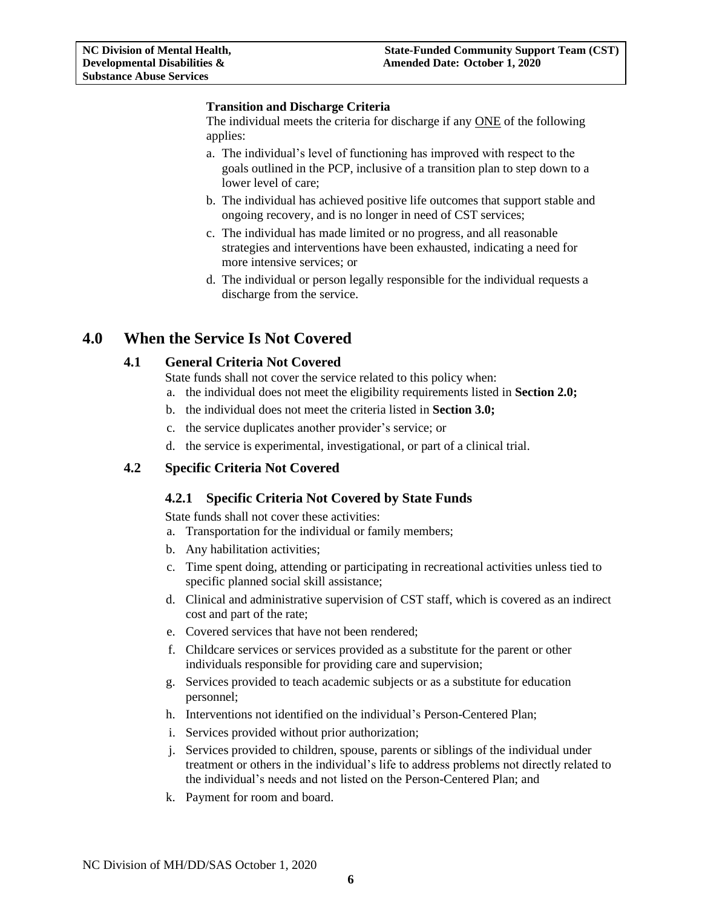### **Transition and Discharge Criteria**

The individual meets the criteria for discharge if any ONE of the following applies:

- a. The individual's level of functioning has improved with respect to the goals outlined in the PCP, inclusive of a transition plan to step down to a lower level of care;
- b. The individual has achieved positive life outcomes that support stable and ongoing recovery, and is no longer in need of CST services;
- c. The individual has made limited or no progress, and all reasonable strategies and interventions have been exhausted, indicating a need for more intensive services; or
- d. The individual or person legally responsible for the individual requests a discharge from the service.

# <span id="page-5-1"></span><span id="page-5-0"></span>**4.0 When the Service Is Not Covered**

### **4.1 General Criteria Not Covered**

State funds shall not cover the service related to this policy when:

a. the individual does not meet the eligibility requirements listed in **Section 2.0;**

- b. the individual does not meet the criteria listed in **Section 3.0;**
- c. the service duplicates another provider's service; or
- d. the service is experimental, investigational, or part of a clinical trial.

### <span id="page-5-3"></span><span id="page-5-2"></span>**4.2 Specific Criteria Not Covered**

### **4.2.1 Specific Criteria Not Covered by State Funds**

State funds shall not cover these activities:

- a. Transportation for the individual or family members;
- b. Any habilitation activities;
- c. Time spent doing, attending or participating in recreational activities unless tied to specific planned social skill assistance;
- d. Clinical and administrative supervision of CST staff, which is covered as an indirect cost and part of the rate;
- e. Covered services that have not been rendered;
- f. Childcare services or services provided as a substitute for the parent or other individuals responsible for providing care and supervision;
- g. Services provided to teach academic subjects or as a substitute for education personnel;
- h. Interventions not identified on the individual's Person-Centered Plan;
- i. Services provided without prior authorization;
- j. Services provided to children, spouse, parents or siblings of the individual under treatment or others in the individual's life to address problems not directly related to the individual's needs and not listed on the Person-Centered Plan; and
- k. Payment for room and board.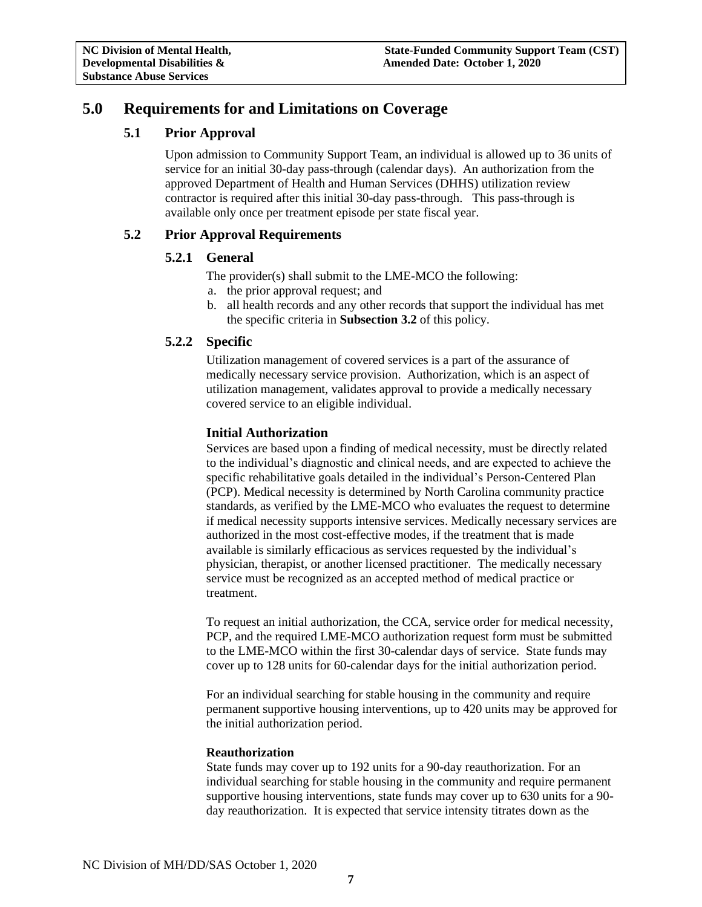# <span id="page-6-1"></span><span id="page-6-0"></span>**5.0 Requirements for and Limitations on Coverage**

# **5.1 Prior Approval**

Upon admission to Community Support Team, an individual is allowed up to 36 units of service for an initial 30-day pass-through (calendar days). An authorization from the approved Department of Health and Human Services (DHHS) utilization review contractor is required after this initial 30-day pass-through. This pass-through is available only once per treatment episode per state fiscal year.

# <span id="page-6-3"></span><span id="page-6-2"></span>**5.2 Prior Approval Requirements**

# **5.2.1 General**

The provider(s) shall submit to the LME-MCO the following:

- a. the prior approval request; and
- b. all health records and any other records that support the individual has met the specific criteria in **Subsection 3.2** of this policy.

# <span id="page-6-4"></span>**5.2.2 Specific**

Utilization management of covered services is a part of the assurance of medically necessary service provision. Authorization, which is an aspect of utilization management, validates approval to provide a medically necessary covered service to an eligible individual.

# **Initial Authorization**

Services are based upon a finding of medical necessity, must be directly related to the individual's diagnostic and clinical needs, and are expected to achieve the specific rehabilitative goals detailed in the individual's Person-Centered Plan (PCP). Medical necessity is determined by North Carolina community practice standards, as verified by the LME-MCO who evaluates the request to determine if medical necessity supports intensive services. Medically necessary services are authorized in the most cost-effective modes, if the treatment that is made available is similarly efficacious as services requested by the individual's physician, therapist, or another licensed practitioner. The medically necessary service must be recognized as an accepted method of medical practice or treatment.

To request an initial authorization, the CCA, service order for medical necessity, PCP, and the required LME-MCO authorization request form must be submitted to the LME-MCO within the first 30-calendar days of service. State funds may cover up to 128 units for 60-calendar days for the initial authorization period.

For an individual searching for stable housing in the community and require permanent supportive housing interventions, up to 420 units may be approved for the initial authorization period.

### **Reauthorization**

State funds may cover up to 192 units for a 90-day reauthorization. For an individual searching for stable housing in the community and require permanent supportive housing interventions, state funds may cover up to 630 units for a 90 day reauthorization. It is expected that service intensity titrates down as the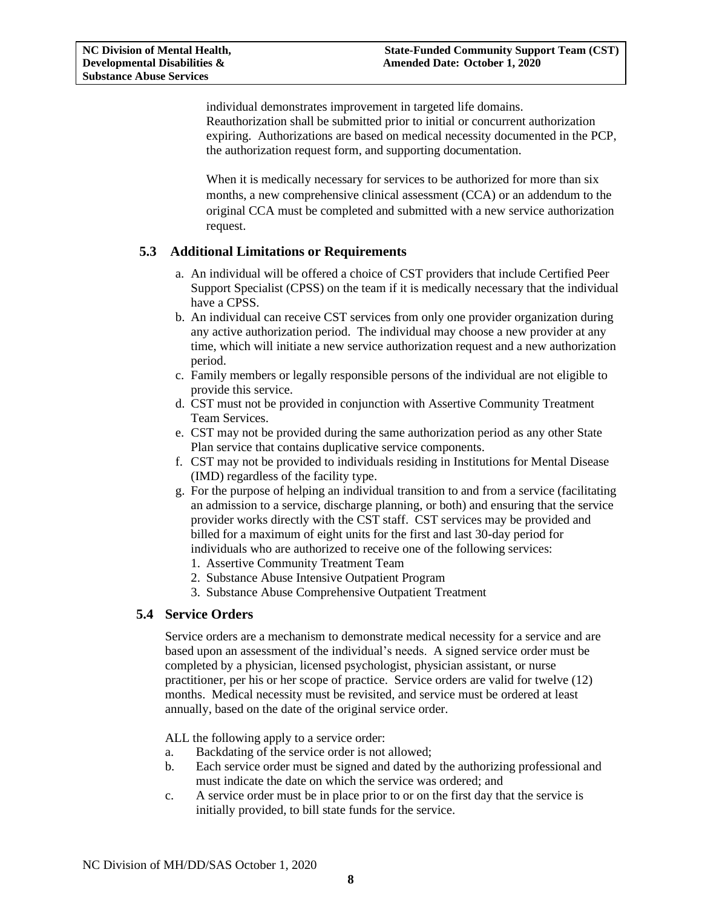individual demonstrates improvement in targeted life domains. Reauthorization shall be submitted prior to initial or concurrent authorization expiring. Authorizations are based on medical necessity documented in the PCP, the authorization request form, and supporting documentation.

When it is medically necessary for services to be authorized for more than six months, a new comprehensive clinical assessment (CCA) or an addendum to the original CCA must be completed and submitted with a new service authorization request.

### <span id="page-7-0"></span>**5.3 Additional Limitations or Requirements**

- a. An individual will be offered a choice of CST providers that include Certified Peer Support Specialist (CPSS) on the team if it is medically necessary that the individual have a CPSS.
- b. An individual can receive CST services from only one provider organization during any active authorization period. The individual may choose a new provider at any time, which will initiate a new service authorization request and a new authorization period.
- c. Family members or legally responsible persons of the individual are not eligible to provide this service.
- d. CST must not be provided in conjunction with Assertive Community Treatment Team Services.
- e. CST may not be provided during the same authorization period as any other State Plan service that contains duplicative service components.
- f. CST may not be provided to individuals residing in Institutions for Mental Disease (IMD) regardless of the facility type.
- g. For the purpose of helping an individual transition to and from a service (facilitating an admission to a service, discharge planning, or both) and ensuring that the service provider works directly with the CST staff. CST services may be provided and billed for a maximum of eight units for the first and last 30-day period for individuals who are authorized to receive one of the following services:
	- 1. Assertive Community Treatment Team
	- 2. Substance Abuse Intensive Outpatient Program
	- 3. Substance Abuse Comprehensive Outpatient Treatment

#### <span id="page-7-1"></span>**5.4 Service Orders**

Service orders are a mechanism to demonstrate medical necessity for a service and are based upon an assessment of the individual's needs. A signed service order must be completed by a physician, licensed psychologist, physician assistant, or nurse practitioner, per his or her scope of practice. Service orders are valid for twelve (12) months. Medical necessity must be revisited, and service must be ordered at least annually, based on the date of the original service order.

ALL the following apply to a service order:

- a. Backdating of the service order is not allowed;
- b. Each service order must be signed and dated by the authorizing professional and must indicate the date on which the service was ordered; and
- c. A service order must be in place prior to or on the first day that the service is initially provided, to bill state funds for the service.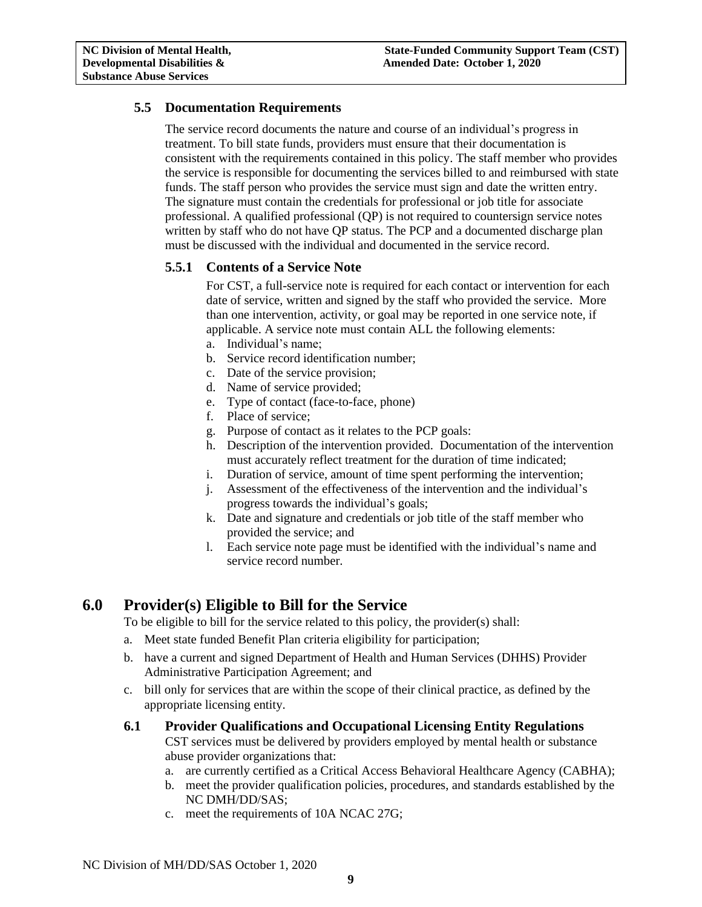# <span id="page-8-0"></span>**5.5 Documentation Requirements**

The service record documents the nature and course of an individual's progress in treatment. To bill state funds, providers must ensure that their documentation is consistent with the requirements contained in this policy. The staff member who provides the service is responsible for documenting the services billed to and reimbursed with state funds. The staff person who provides the service must sign and date the written entry. The signature must contain the credentials for professional or job title for associate professional. A qualified professional (QP) is not required to countersign service notes written by staff who do not have QP status. The PCP and a documented discharge plan must be discussed with the individual and documented in the service record.

# <span id="page-8-1"></span>**5.5.1 Contents of a Service Note**

For CST, a full-service note is required for each contact or intervention for each date of service, written and signed by the staff who provided the service. More than one intervention, activity, or goal may be reported in one service note, if applicable. A service note must contain ALL the following elements:

- a. Individual's name;
- b. Service record identification number;
- c. Date of the service provision;
- d. Name of service provided;
- e. Type of contact (face-to-face, phone)
- f. Place of service;
- g. Purpose of contact as it relates to the PCP goals:
- h. Description of the intervention provided. Documentation of the intervention must accurately reflect treatment for the duration of time indicated;
- i. Duration of service, amount of time spent performing the intervention;
- j. Assessment of the effectiveness of the intervention and the individual's progress towards the individual's goals;
- k. Date and signature and credentials or job title of the staff member who provided the service; and
- l. Each service note page must be identified with the individual's name and service record number.

# <span id="page-8-2"></span>**6.0 Provider(s) Eligible to Bill for the Service**

To be eligible to bill for the service related to this policy, the provider(s) shall:

- a. Meet state funded Benefit Plan criteria eligibility for participation;
- b. have a current and signed Department of Health and Human Services (DHHS) Provider Administrative Participation Agreement; and
- c. bill only for services that are within the scope of their clinical practice, as defined by the appropriate licensing entity.
- <span id="page-8-3"></span>**6.1 Provider Qualifications and Occupational Licensing Entity Regulations**

CST services must be delivered by providers employed by mental health or substance abuse provider organizations that:

- a. are currently certified as a Critical Access Behavioral Healthcare Agency (CABHA);
- b. meet the provider qualification policies, procedures, and standards established by the NC DMH/DD/SAS;
- c. meet the requirements of 10A NCAC 27G;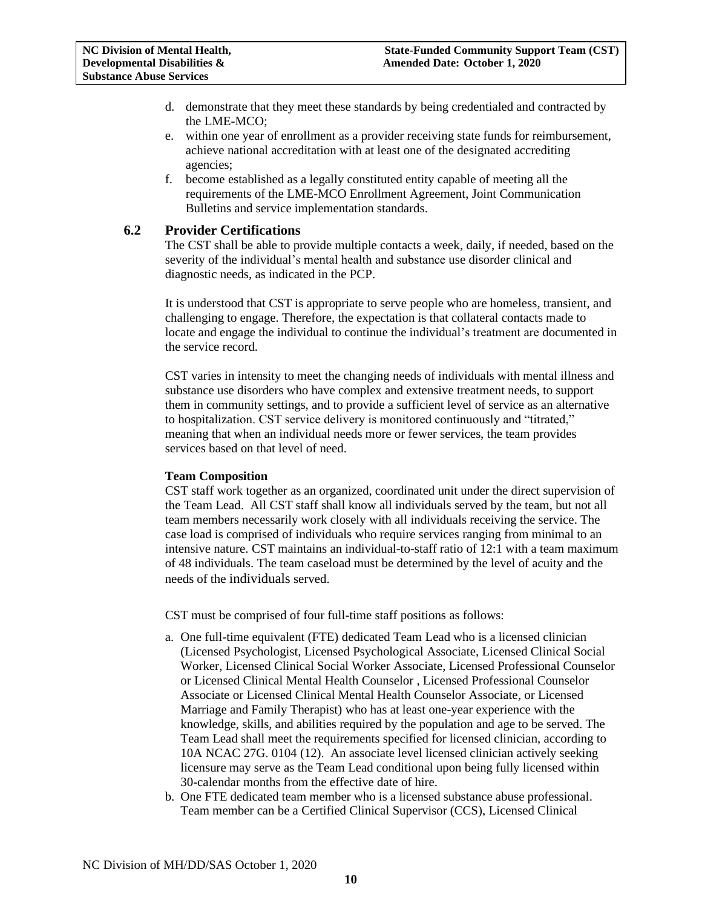- d. demonstrate that they meet these standards by being credentialed and contracted by the LME-MCO;
- e. within one year of enrollment as a provider receiving state funds for reimbursement, achieve national accreditation with at least one of the designated accrediting agencies;
- f. become established as a legally constituted entity capable of meeting all the requirements of the LME-MCO Enrollment Agreement, Joint Communication Bulletins and service implementation standards.

### <span id="page-9-0"></span>**6.2 Provider Certifications**

The CST shall be able to provide multiple contacts a week, daily, if needed, based on the severity of the individual's mental health and substance use disorder clinical and diagnostic needs, as indicated in the PCP.

It is understood that CST is appropriate to serve people who are homeless, transient, and challenging to engage. Therefore, the expectation is that collateral contacts made to locate and engage the individual to continue the individual's treatment are documented in the service record.

CST varies in intensity to meet the changing needs of individuals with mental illness and substance use disorders who have complex and extensive treatment needs, to support them in community settings, and to provide a sufficient level of service as an alternative to hospitalization. CST service delivery is monitored continuously and "titrated," meaning that when an individual needs more or fewer services, the team provides services based on that level of need.

#### **Team Composition**

CST staff work together as an organized, coordinated unit under the direct supervision of the Team Lead. All CST staff shall know all individuals served by the team, but not all team members necessarily work closely with all individuals receiving the service. The case load is comprised of individuals who require services ranging from minimal to an intensive nature. CST maintains an individual-to-staff ratio of 12:1 with a team maximum of 48 individuals. The team caseload must be determined by the level of acuity and the needs of the individuals served.

CST must be comprised of four full-time staff positions as follows:

- a. One full-time equivalent (FTE) dedicated Team Lead who is a licensed clinician (Licensed Psychologist, Licensed Psychological Associate, Licensed Clinical Social Worker, Licensed Clinical Social Worker Associate, Licensed Professional Counselor or Licensed Clinical Mental Health Counselor , Licensed Professional Counselor Associate or Licensed Clinical Mental Health Counselor Associate, or Licensed Marriage and Family Therapist) who has at least one-year experience with the knowledge, skills, and abilities required by the population and age to be served. The Team Lead shall meet the requirements specified for licensed clinician, according to 10A NCAC 27G. 0104 (12). An associate level licensed clinician actively seeking licensure may serve as the Team Lead conditional upon being fully licensed within 30-calendar months from the effective date of hire.
- b. One FTE dedicated team member who is a licensed substance abuse professional. Team member can be a Certified Clinical Supervisor (CCS), Licensed Clinical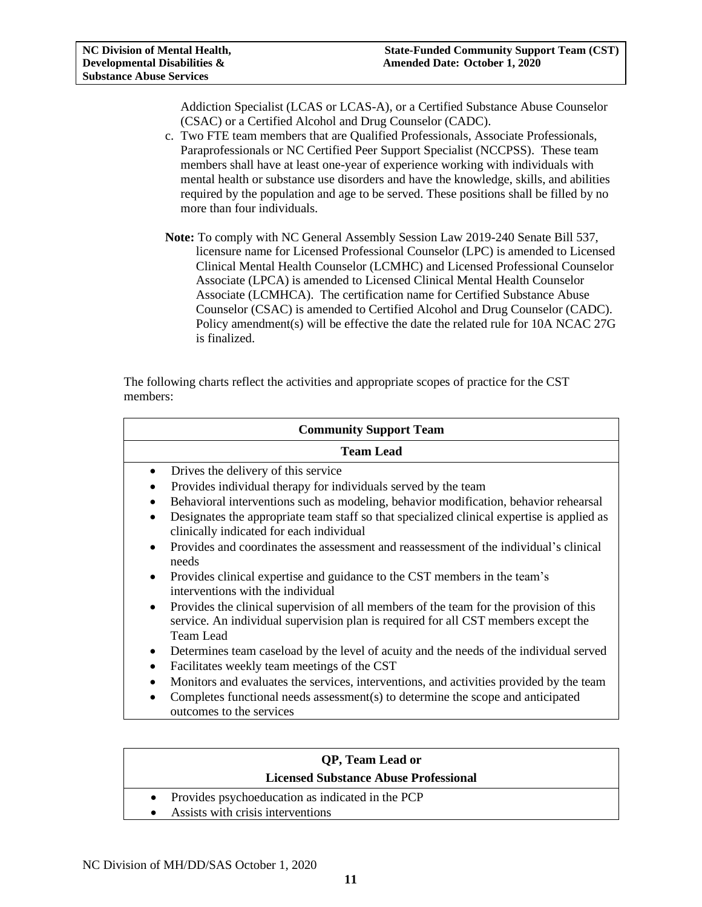Addiction Specialist (LCAS or LCAS-A), or a Certified Substance Abuse Counselor (CSAC) or a Certified Alcohol and Drug Counselor (CADC).

- c. Two FTE team members that are Qualified Professionals, Associate Professionals, Paraprofessionals or NC Certified Peer Support Specialist (NCCPSS). These team members shall have at least one-year of experience working with individuals with mental health or substance use disorders and have the knowledge, skills, and abilities required by the population and age to be served. These positions shall be filled by no more than four individuals.
- **Note:** To comply with NC General Assembly Session Law 2019-240 Senate Bill 537, licensure name for Licensed Professional Counselor (LPC) is amended to Licensed Clinical Mental Health Counselor (LCMHC) and Licensed Professional Counselor Associate (LPCA) is amended to Licensed Clinical Mental Health Counselor Associate (LCMHCA). The certification name for Certified Substance Abuse Counselor (CSAC) is amended to Certified Alcohol and Drug Counselor (CADC). Policy amendment(s) will be effective the date the related rule for 10A NCAC 27G is finalized.

The following charts reflect the activities and appropriate scopes of practice for the CST members:

| <b>Community Support Team</b> |                                                                                                                                                                                                  |  |  |
|-------------------------------|--------------------------------------------------------------------------------------------------------------------------------------------------------------------------------------------------|--|--|
| <b>Team Lead</b>              |                                                                                                                                                                                                  |  |  |
| $\bullet$                     | Drives the delivery of this service                                                                                                                                                              |  |  |
|                               | Provides individual therapy for individuals served by the team                                                                                                                                   |  |  |
| $\bullet$                     | Behavioral interventions such as modeling, behavior modification, behavior rehearsal                                                                                                             |  |  |
|                               | Designates the appropriate team staff so that specialized clinical expertise is applied as<br>clinically indicated for each individual                                                           |  |  |
|                               | Provides and coordinates the assessment and reassessment of the individual's clinical<br>needs                                                                                                   |  |  |
| $\bullet$                     | Provides clinical expertise and guidance to the CST members in the team's<br>interventions with the individual                                                                                   |  |  |
| $\bullet$                     | Provides the clinical supervision of all members of the team for the provision of this<br>service. An individual supervision plan is required for all CST members except the<br><b>Team Lead</b> |  |  |
| $\bullet$                     | Determines team caseload by the level of acuity and the needs of the individual served                                                                                                           |  |  |
| $\bullet$                     | Facilitates weekly team meetings of the CST                                                                                                                                                      |  |  |
|                               | Monitors and evaluates the services, interventions, and activities provided by the team                                                                                                          |  |  |
| $\bullet$                     | Completes functional needs assessment(s) to determine the scope and anticipated<br>outcomes to the services                                                                                      |  |  |

| <b>OP, Team Lead or</b>                            |  |  |  |
|----------------------------------------------------|--|--|--|
| <b>Licensed Substance Abuse Professional</b>       |  |  |  |
| • Provides psychoeducation as indicated in the PCP |  |  |  |
| Assists with crisis interventions<br>$\bullet$     |  |  |  |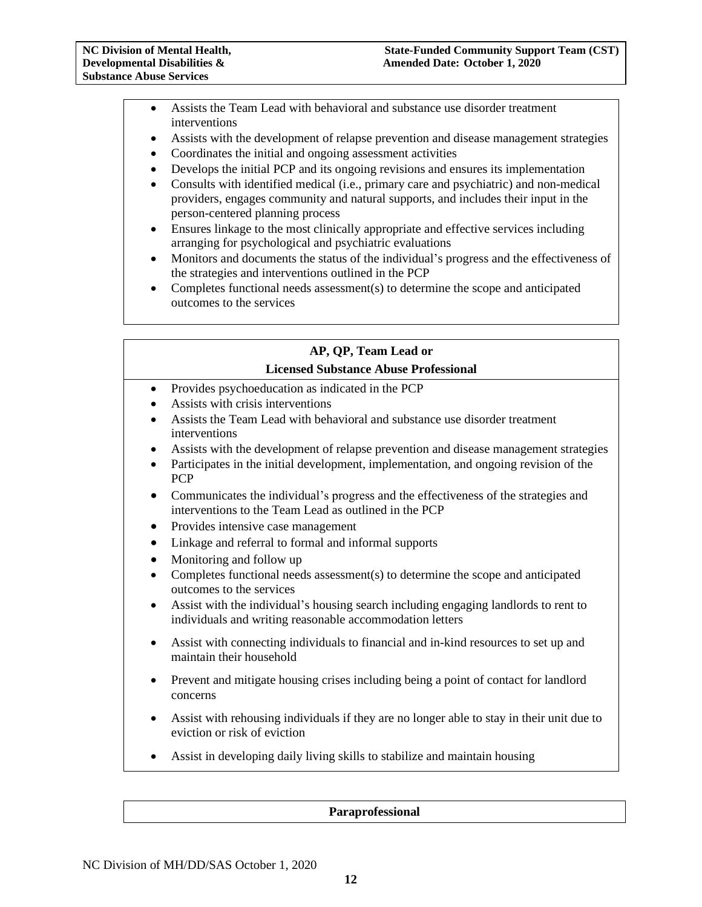- Assists the Team Lead with behavioral and substance use disorder treatment interventions
- Assists with the development of relapse prevention and disease management strategies
- Coordinates the initial and ongoing assessment activities
- Develops the initial PCP and its ongoing revisions and ensures its implementation
- Consults with identified medical (i.e., primary care and psychiatric) and non-medical providers, engages community and natural supports, and includes their input in the person-centered planning process
- Ensures linkage to the most clinically appropriate and effective services including arranging for psychological and psychiatric evaluations
- Monitors and documents the status of the individual's progress and the effectiveness of the strategies and interventions outlined in the PCP
- Completes functional needs assessment(s) to determine the scope and anticipated outcomes to the services

|           | AP, QP, Team Lead or                                                                                                                            |
|-----------|-------------------------------------------------------------------------------------------------------------------------------------------------|
|           | <b>Licensed Substance Abuse Professional</b>                                                                                                    |
| $\bullet$ | Provides psychoeducation as indicated in the PCP<br>Assists with crisis interventions                                                           |
|           | Assists the Team Lead with behavioral and substance use disorder treatment<br>interventions                                                     |
| $\bullet$ | Assists with the development of relapse prevention and disease management strategies                                                            |
| $\bullet$ | Participates in the initial development, implementation, and ongoing revision of the<br><b>PCP</b>                                              |
| $\bullet$ | Communicates the individual's progress and the effectiveness of the strategies and<br>interventions to the Team Lead as outlined in the PCP     |
|           | Provides intensive case management                                                                                                              |
| $\bullet$ | Linkage and referral to formal and informal supports                                                                                            |
| $\bullet$ | Monitoring and follow up                                                                                                                        |
| $\bullet$ | Completes functional needs assessment(s) to determine the scope and anticipated<br>outcomes to the services                                     |
| ٠         | Assist with the individual's housing search including engaging landlords to rent to<br>individuals and writing reasonable accommodation letters |
|           | Assist with connecting individuals to financial and in-kind resources to set up and<br>maintain their household                                 |
|           | Prevent and mitigate housing crises including being a point of contact for landlord<br>concerns                                                 |
|           | Assist with rehousing individuals if they are no longer able to stay in their unit due to<br>eviction or risk of eviction                       |
|           | Assist in developing daily living skills to stabilize and maintain housing                                                                      |

#### **Paraprofessional**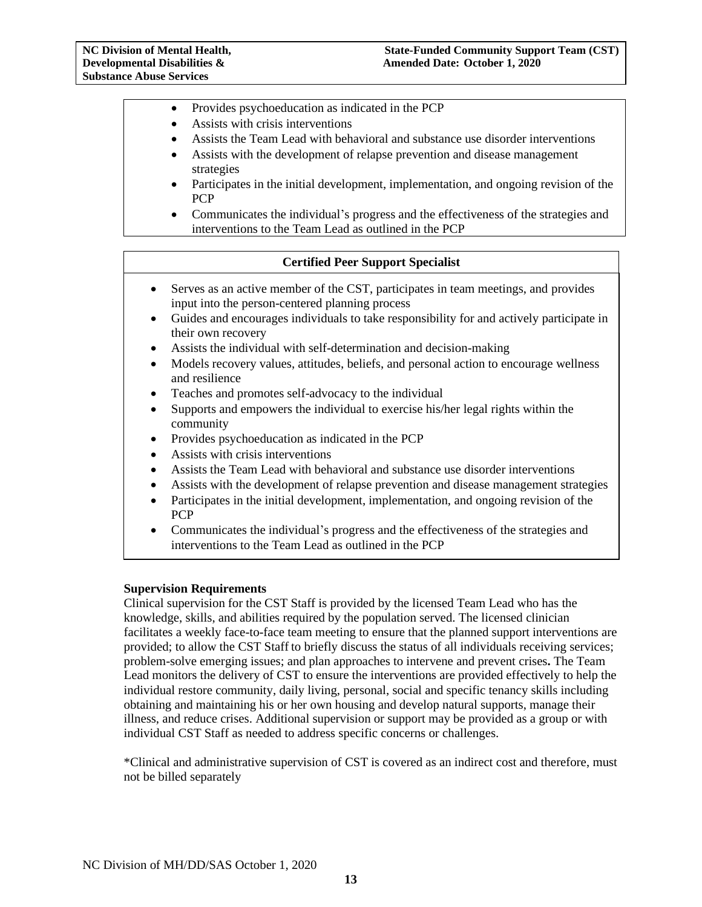- Provides psychoeducation as indicated in the PCP
- Assists with crisis interventions
- Assists the Team Lead with behavioral and substance use disorder interventions
- Assists with the development of relapse prevention and disease management strategies
- Participates in the initial development, implementation, and ongoing revision of the PCP
- Communicates the individual's progress and the effectiveness of the strategies and interventions to the Team Lead as outlined in the PCP

#### **Certified Peer Support Specialist**

- Serves as an active member of the CST, participates in team meetings, and provides input into the person-centered planning process
- Guides and encourages individuals to take responsibility for and actively participate in their own recovery
- Assists the individual with self-determination and decision-making
- Models recovery values, attitudes, beliefs, and personal action to encourage wellness and resilience
- Teaches and promotes self-advocacy to the individual
- Supports and empowers the individual to exercise his/her legal rights within the community
- Provides psychoeducation as indicated in the PCP
- Assists with crisis interventions
- Assists the Team Lead with behavioral and substance use disorder interventions
- Assists with the development of relapse prevention and disease management strategies
- Participates in the initial development, implementation, and ongoing revision of the PCP
- Communicates the individual's progress and the effectiveness of the strategies and interventions to the Team Lead as outlined in the PCP

#### **Supervision Requirements**

Clinical supervision for the CST Staff is provided by the licensed Team Lead who has the knowledge, skills, and abilities required by the population served. The licensed clinician facilitates a weekly face-to-face team meeting to ensure that the planned support interventions are provided; to allow the CST Staff to briefly discuss the status of all individuals receiving services; problem-solve emerging issues; and plan approaches to intervene and prevent crises**.** The Team Lead monitors the delivery of CST to ensure the interventions are provided effectively to help the individual restore community, daily living, personal, social and specific tenancy skills including obtaining and maintaining his or her own housing and develop natural supports, manage their illness, and reduce crises. Additional supervision or support may be provided as a group or with individual CST Staff as needed to address specific concerns or challenges.

\*Clinical and administrative supervision of CST is covered as an indirect cost and therefore, must not be billed separately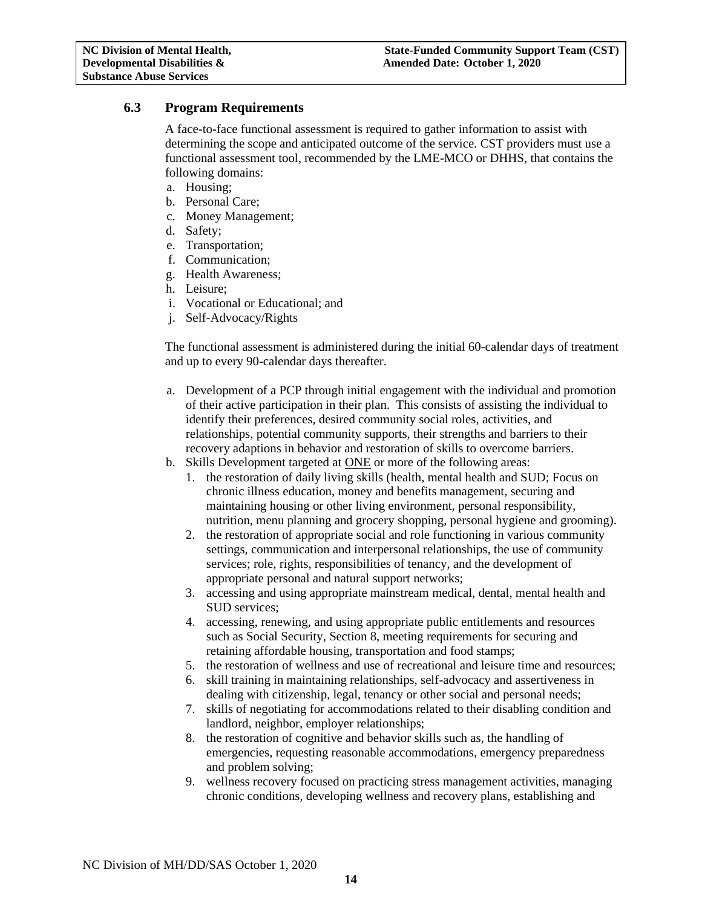# <span id="page-13-0"></span>**6.3 Program Requirements**

A face-to-face functional assessment is required to gather information to assist with determining the scope and anticipated outcome of the service. CST providers must use a functional assessment tool, recommended by the LME-MCO or DHHS, that contains the following domains:

- a. Housing;
- b. Personal Care;
- c. Money Management;
- d. Safety;
- e. Transportation;
- f. Communication;
- g. Health Awareness;
- h. Leisure;
- i. Vocational or Educational; and
- j. Self-Advocacy/Rights

The functional assessment is administered during the initial 60-calendar days of treatment and up to every 90-calendar days thereafter.

- a. Development of a PCP through initial engagement with the individual and promotion of their active participation in their plan. This consists of assisting the individual to identify their preferences, desired community social roles, activities, and relationships, potential community supports, their strengths and barriers to their recovery adaptions in behavior and restoration of skills to overcome barriers.
- b. Skills Development targeted at ONE or more of the following areas:
	- 1. the restoration of daily living skills (health, mental health and SUD; Focus on chronic illness education, money and benefits management, securing and maintaining housing or other living environment, personal responsibility, nutrition, menu planning and grocery shopping, personal hygiene and grooming).
	- 2. the restoration of appropriate social and role functioning in various community settings, communication and interpersonal relationships, the use of community services; role, rights, responsibilities of tenancy, and the development of appropriate personal and natural support networks;
	- 3. accessing and using appropriate mainstream medical, dental, mental health and SUD services;
	- 4. accessing, renewing, and using appropriate public entitlements and resources such as Social Security, Section 8, meeting requirements for securing and retaining affordable housing, transportation and food stamps;
	- 5. the restoration of wellness and use of recreational and leisure time and resources;
	- 6. skill training in maintaining relationships, self-advocacy and assertiveness in dealing with citizenship, legal, tenancy or other social and personal needs;
	- 7. skills of negotiating for accommodations related to their disabling condition and landlord, neighbor, employer relationships;
	- 8. the restoration of cognitive and behavior skills such as, the handling of emergencies, requesting reasonable accommodations, emergency preparedness and problem solving;
	- 9. wellness recovery focused on practicing stress management activities, managing chronic conditions, developing wellness and recovery plans, establishing and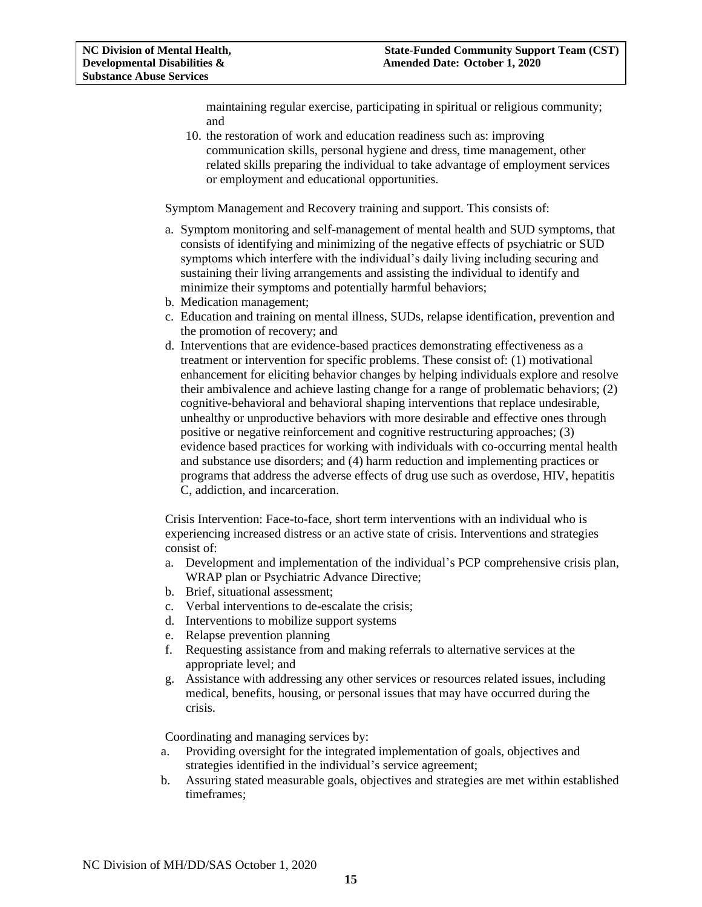maintaining regular exercise, participating in spiritual or religious community; and

10. the restoration of work and education readiness such as: improving communication skills, personal hygiene and dress, time management, other related skills preparing the individual to take advantage of employment services or employment and educational opportunities.

Symptom Management and Recovery training and support. This consists of:

- a. Symptom monitoring and self-management of mental health and SUD symptoms, that consists of identifying and minimizing of the negative effects of psychiatric or SUD symptoms which interfere with the individual's daily living including securing and sustaining their living arrangements and assisting the individual to identify and minimize their symptoms and potentially harmful behaviors;
- b. Medication management;
- c. Education and training on mental illness, SUDs, relapse identification, prevention and the promotion of recovery; and
- d. Interventions that are evidence-based practices demonstrating effectiveness as a treatment or intervention for specific problems. These consist of: (1) motivational enhancement for eliciting behavior changes by helping individuals explore and resolve their ambivalence and achieve lasting change for a range of problematic behaviors; (2) cognitive-behavioral and behavioral shaping interventions that replace undesirable, unhealthy or unproductive behaviors with more desirable and effective ones through positive or negative reinforcement and cognitive restructuring approaches; (3) evidence based practices for working with individuals with co-occurring mental health and substance use disorders; and (4) harm reduction and implementing practices or programs that address the adverse effects of drug use such as overdose, HIV, hepatitis C, addiction, and incarceration.

Crisis Intervention: Face-to-face, short term interventions with an individual who is experiencing increased distress or an active state of crisis. Interventions and strategies consist of:

- a. Development and implementation of the individual's PCP comprehensive crisis plan, WRAP plan or Psychiatric Advance Directive;
- b. Brief, situational assessment;
- c. Verbal interventions to de-escalate the crisis;
- d. Interventions to mobilize support systems
- e. Relapse prevention planning
- f. Requesting assistance from and making referrals to alternative services at the appropriate level; and
- g. Assistance with addressing any other services or resources related issues, including medical, benefits, housing, or personal issues that may have occurred during the crisis.

Coordinating and managing services by:

- a. Providing oversight for the integrated implementation of goals, objectives and strategies identified in the individual's service agreement;
- b. Assuring stated measurable goals, objectives and strategies are met within established timeframes;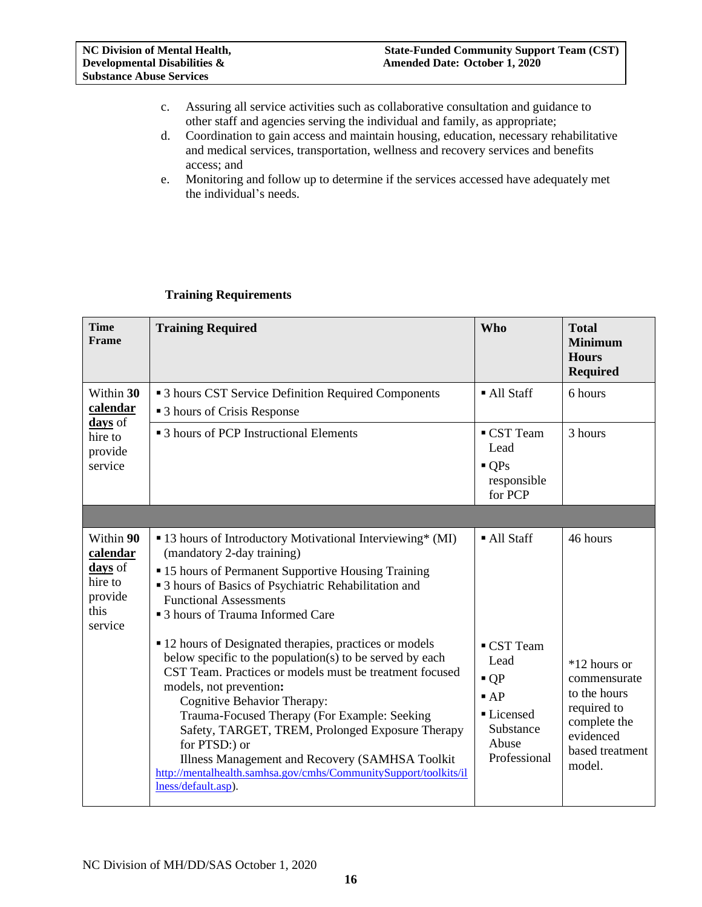- c. Assuring all service activities such as collaborative consultation and guidance to other staff and agencies serving the individual and family, as appropriate;
- d. Coordination to gain access and maintain housing, education, necessary rehabilitative and medical services, transportation, wellness and recovery services and benefits access; and
- e. Monitoring and follow up to determine if the services accessed have adequately met the individual's needs.

|  | <b>Training Requirements</b> |
|--|------------------------------|
|--|------------------------------|

| <b>Time</b><br>Frame                                                      | <b>Training Required</b>                                                                                                                                                                                                                                                                                                                                                                                                                                                                                                                                                                                                                                                                                                                                                                                 | <b>Who</b>                                                                                                                  | <b>Total</b><br><b>Minimum</b><br><b>Hours</b><br><b>Required</b>                                                                 |
|---------------------------------------------------------------------------|----------------------------------------------------------------------------------------------------------------------------------------------------------------------------------------------------------------------------------------------------------------------------------------------------------------------------------------------------------------------------------------------------------------------------------------------------------------------------------------------------------------------------------------------------------------------------------------------------------------------------------------------------------------------------------------------------------------------------------------------------------------------------------------------------------|-----------------------------------------------------------------------------------------------------------------------------|-----------------------------------------------------------------------------------------------------------------------------------|
| Within 30<br>calendar                                                     | • 3 hours CST Service Definition Required Components<br>■ 3 hours of Crisis Response                                                                                                                                                                                                                                                                                                                                                                                                                                                                                                                                                                                                                                                                                                                     | • All Staff                                                                                                                 | 6 hours                                                                                                                           |
| days of<br>hire to<br>provide<br>service                                  | • 3 hours of PCP Instructional Elements                                                                                                                                                                                                                                                                                                                                                                                                                                                                                                                                                                                                                                                                                                                                                                  | ■ CST Team<br>Lead<br>$\bullet$ OPs<br>responsible<br>for PCP                                                               | 3 hours                                                                                                                           |
|                                                                           |                                                                                                                                                                                                                                                                                                                                                                                                                                                                                                                                                                                                                                                                                                                                                                                                          |                                                                                                                             |                                                                                                                                   |
| Within 90<br>calendar<br>days of<br>hire to<br>provide<br>this<br>service | ■ 13 hours of Introductory Motivational Interviewing* (MI)<br>(mandatory 2-day training)<br>• 15 hours of Permanent Supportive Housing Training<br>• 3 hours of Basics of Psychiatric Rehabilitation and<br><b>Functional Assessments</b><br><sup>3</sup> 3 hours of Trauma Informed Care<br>• 12 hours of Designated therapies, practices or models<br>below specific to the population(s) to be served by each<br>CST Team. Practices or models must be treatment focused<br>models, not prevention:<br>Cognitive Behavior Therapy:<br>Trauma-Focused Therapy (For Example: Seeking<br>Safety, TARGET, TREM, Prolonged Exposure Therapy<br>for PTSD:) or<br>Illness Management and Recovery (SAMHSA Toolkit<br>http://mentalhealth.samhsa.gov/cmhs/CommunitySupport/toolkits/il<br>lness/default.asp). | • All Staff<br>CST Team<br>Lead<br>$\blacksquare$ OP<br>$\blacksquare$ AP<br>Licensed<br>Substance<br>Abuse<br>Professional | 46 hours<br>*12 hours or<br>commensurate<br>to the hours<br>required to<br>complete the<br>evidenced<br>based treatment<br>model. |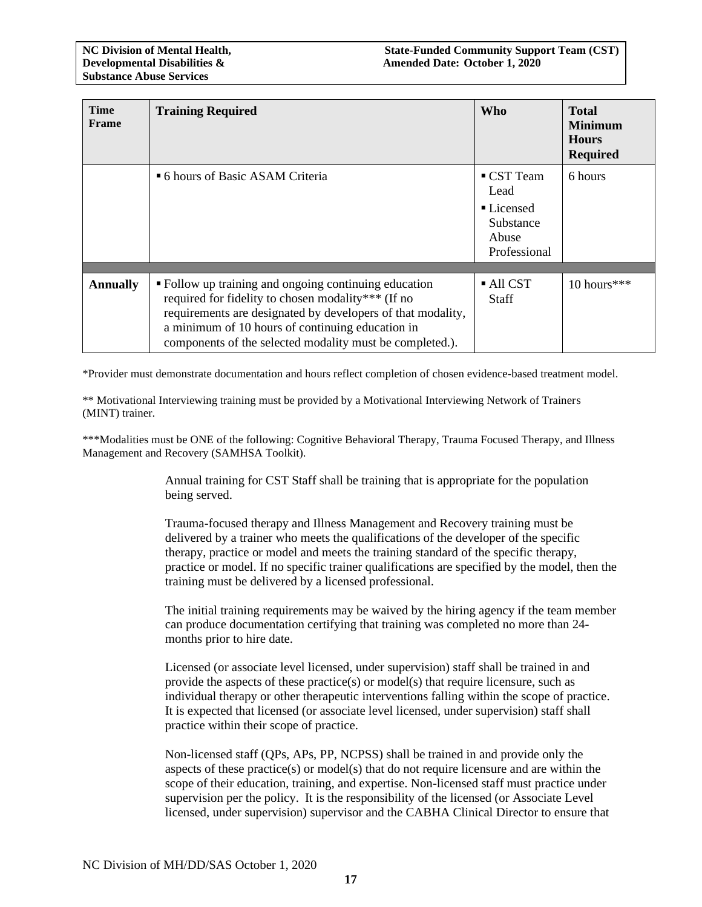| <b>Time</b><br>Frame | <b>Training Required</b>                                                                                                                                                                                                                                                                   | <b>Who</b>                                                             | <b>Total</b><br><b>Minimum</b><br><b>Hours</b><br><b>Required</b> |
|----------------------|--------------------------------------------------------------------------------------------------------------------------------------------------------------------------------------------------------------------------------------------------------------------------------------------|------------------------------------------------------------------------|-------------------------------------------------------------------|
|                      | <sup>•</sup> 6 hours of Basic ASAM Criteria                                                                                                                                                                                                                                                | ■ CST Team<br>Lead<br>■ Licensed<br>Substance<br>Abuse<br>Professional | 6 hours                                                           |
| <b>Annually</b>      | • Follow up training and ongoing continuing education<br>required for fidelity to chosen modality*** (If no<br>requirements are designated by developers of that modality,<br>a minimum of 10 hours of continuing education in<br>components of the selected modality must be completed.). | All CST<br><b>Staff</b>                                                | 10 hours***                                                       |

\*Provider must demonstrate documentation and hours reflect completion of chosen evidence-based treatment model.

\*\* Motivational Interviewing training must be provided by a Motivational Interviewing Network of Trainers (MINT) trainer.

\*\*\*Modalities must be ONE of the following: Cognitive Behavioral Therapy, Trauma Focused Therapy, and Illness Management and Recovery (SAMHSA Toolkit).

> Annual training for CST Staff shall be training that is appropriate for the population being served.

Trauma-focused therapy and Illness Management and Recovery training must be delivered by a trainer who meets the qualifications of the developer of the specific therapy, practice or model and meets the training standard of the specific therapy, practice or model. If no specific trainer qualifications are specified by the model, then the training must be delivered by a licensed professional.

The initial training requirements may be waived by the hiring agency if the team member can produce documentation certifying that training was completed no more than 24 months prior to hire date.

Licensed (or associate level licensed, under supervision) staff shall be trained in and provide the aspects of these practice(s) or model(s) that require licensure, such as individual therapy or other therapeutic interventions falling within the scope of practice. It is expected that licensed (or associate level licensed, under supervision) staff shall practice within their scope of practice.

Non-licensed staff (QPs, APs, PP, NCPSS) shall be trained in and provide only the aspects of these practice(s) or model(s) that do not require licensure and are within the scope of their education, training, and expertise. Non-licensed staff must practice under supervision per the policy. It is the responsibility of the licensed (or Associate Level licensed, under supervision) supervisor and the CABHA Clinical Director to ensure that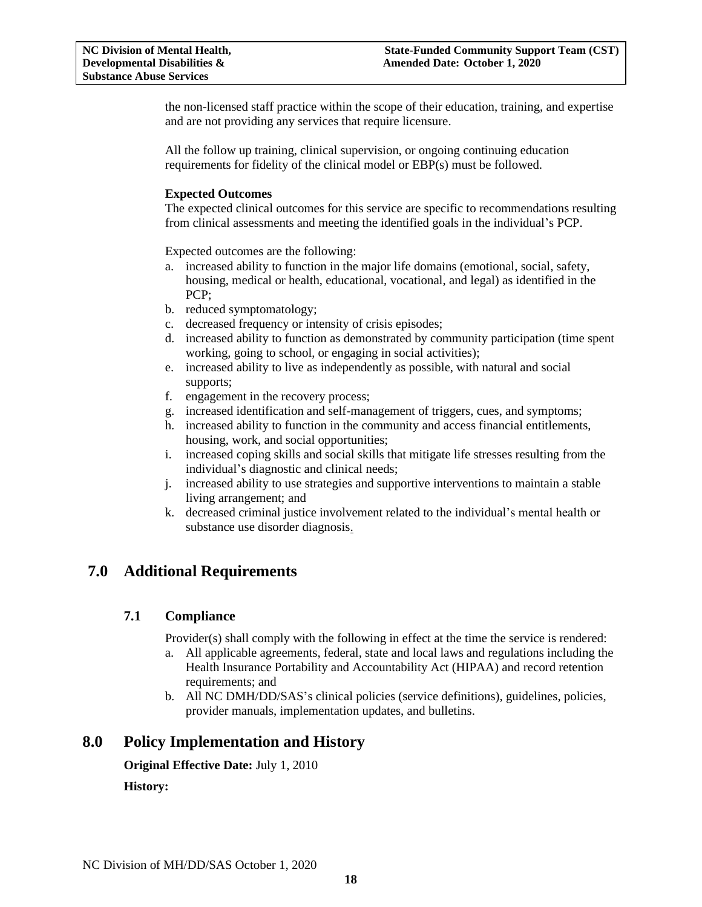the non-licensed staff practice within the scope of their education, training, and expertise and are not providing any services that require licensure.

All the follow up training, clinical supervision, or ongoing continuing education requirements for fidelity of the clinical model or EBP(s) must be followed.

#### **Expected Outcomes**

The expected clinical outcomes for this service are specific to recommendations resulting from clinical assessments and meeting the identified goals in the individual's PCP.

Expected outcomes are the following:

- a. increased ability to function in the major life domains (emotional, social, safety, housing, medical or health, educational, vocational, and legal) as identified in the PCP;
- b. reduced symptomatology;
- c. decreased frequency or intensity of crisis episodes;
- d. increased ability to function as demonstrated by community participation (time spent working, going to school, or engaging in social activities);
- e. increased ability to live as independently as possible, with natural and social supports;
- f. engagement in the recovery process;
- g. increased identification and self-management of triggers, cues, and symptoms;
- h. increased ability to function in the community and access financial entitlements, housing, work, and social opportunities;
- i. increased coping skills and social skills that mitigate life stresses resulting from the individual's diagnostic and clinical needs;
- j. increased ability to use strategies and supportive interventions to maintain a stable living arrangement; and
- k. decreased criminal justice involvement related to the individual's mental health or substance use disorder diagnosis.

# <span id="page-17-1"></span><span id="page-17-0"></span>**7.0 Additional Requirements**

#### **7.1 Compliance**

Provider(s) shall comply with the following in effect at the time the service is rendered:

- a. All applicable agreements, federal, state and local laws and regulations including the Health Insurance Portability and Accountability Act (HIPAA) and record retention requirements; and
- b. All NC DMH/DD/SAS's clinical policies (service definitions), guidelines, policies, provider manuals, implementation updates, and bulletins.

# <span id="page-17-2"></span>**8.0 Policy Implementation and History**

**Original Effective Date:** July 1, 2010

**History:**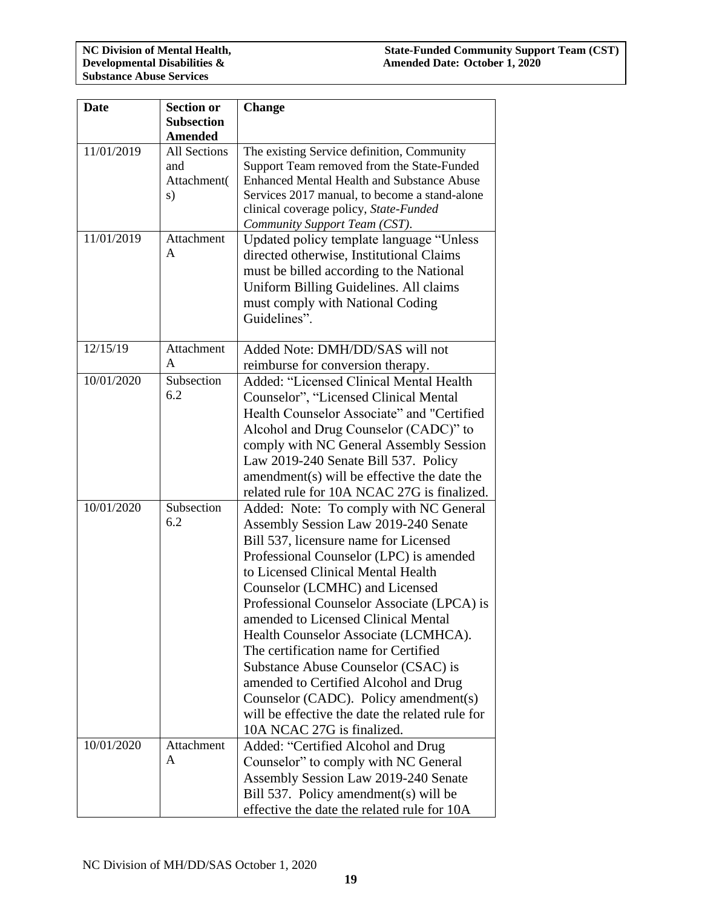| <b>Date</b> | <b>Section or</b>   | <b>Change</b>                                     |  |
|-------------|---------------------|---------------------------------------------------|--|
|             | <b>Subsection</b>   |                                                   |  |
|             | <b>Amended</b>      |                                                   |  |
| 11/01/2019  | <b>All Sections</b> | The existing Service definition, Community        |  |
|             | and                 | Support Team removed from the State-Funded        |  |
|             | Attachment(         | <b>Enhanced Mental Health and Substance Abuse</b> |  |
|             | s)                  | Services 2017 manual, to become a stand-alone     |  |
|             |                     | clinical coverage policy, State-Funded            |  |
|             |                     | Community Support Team (CST).                     |  |
| 11/01/2019  | Attachment          | Updated policy template language "Unless          |  |
|             | A                   | directed otherwise, Institutional Claims          |  |
|             |                     | must be billed according to the National          |  |
|             |                     | Uniform Billing Guidelines. All claims            |  |
|             |                     |                                                   |  |
|             |                     | must comply with National Coding                  |  |
|             |                     | Guidelines".                                      |  |
|             |                     |                                                   |  |
| 12/15/19    | Attachment          | Added Note: DMH/DD/SAS will not                   |  |
|             | A                   | reimburse for conversion therapy.                 |  |
| 10/01/2020  | Subsection          | Added: "Licensed Clinical Mental Health           |  |
|             | 6.2                 | Counselor", "Licensed Clinical Mental             |  |
|             |                     | Health Counselor Associate" and "Certified        |  |
|             |                     | Alcohol and Drug Counselor (CADC)" to             |  |
|             |                     | comply with NC General Assembly Session           |  |
|             |                     | Law 2019-240 Senate Bill 537. Policy              |  |
|             |                     | amendment(s) will be effective the date the       |  |
|             |                     | related rule for 10A NCAC 27G is finalized.       |  |
| 10/01/2020  | Subsection          | Added: Note: To comply with NC General            |  |
|             | 6.2                 |                                                   |  |
|             |                     | Assembly Session Law 2019-240 Senate              |  |
|             |                     | Bill 537, licensure name for Licensed             |  |
|             |                     | Professional Counselor (LPC) is amended           |  |
|             |                     | to Licensed Clinical Mental Health                |  |
|             |                     | Counselor (LCMHC) and Licensed                    |  |
|             |                     | Professional Counselor Associate (LPCA) is        |  |
|             |                     | amended to Licensed Clinical Mental               |  |
|             |                     | Health Counselor Associate (LCMHCA).              |  |
|             |                     | The certification name for Certified              |  |
|             |                     | Substance Abuse Counselor (CSAC) is               |  |
|             |                     | amended to Certified Alcohol and Drug             |  |
|             |                     | Counselor (CADC). Policy amendment(s)             |  |
|             |                     | will be effective the date the related rule for   |  |
|             |                     | 10A NCAC 27G is finalized.                        |  |
| 10/01/2020  | Attachment          | Added: "Certified Alcohol and Drug                |  |
|             | A                   | Counselor" to comply with NC General              |  |
|             |                     | Assembly Session Law 2019-240 Senate              |  |
|             |                     |                                                   |  |
|             |                     | Bill 537. Policy amendment(s) will be             |  |
|             |                     | effective the date the related rule for 10A       |  |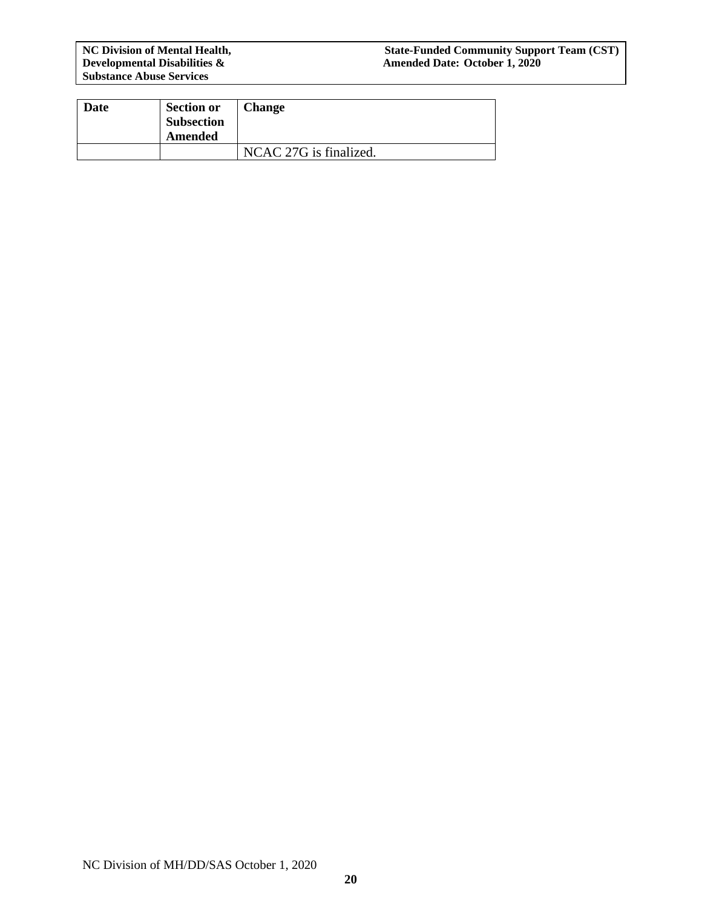**Developmental Disabilities &**<br>Substance Abuse Services

#### **NC Division of Mental Health, State-Funded Community Support Team (CST) Developmental Disabilities & Amended Date: October 1, 2020**

| <b>Date</b> | <b>Section or</b><br><b>Subsection</b><br>Amended | <b>Change</b>          |
|-------------|---------------------------------------------------|------------------------|
|             |                                                   | NCAC 27G is finalized. |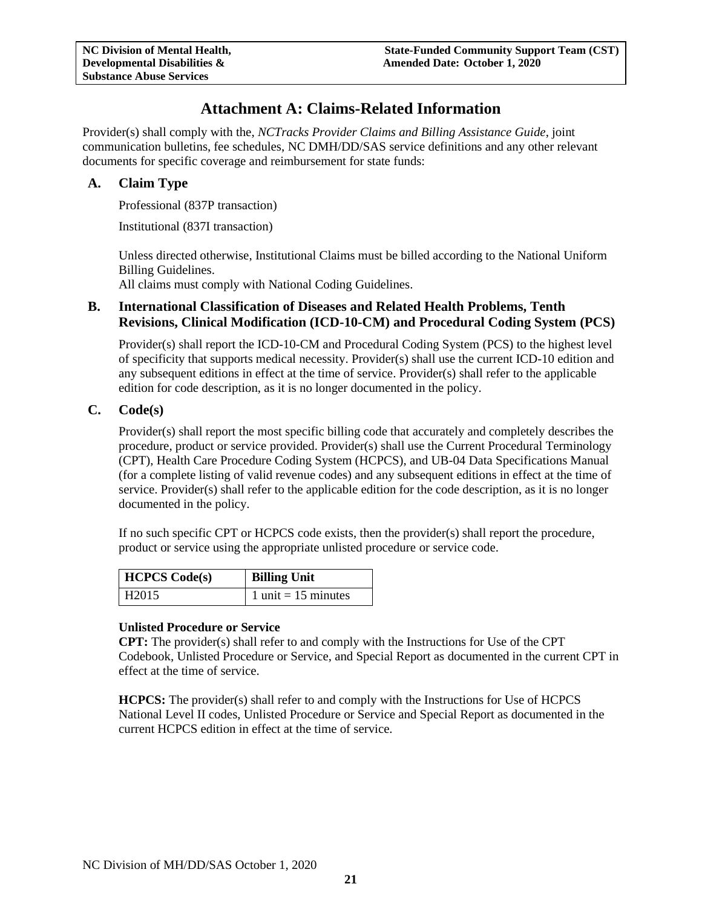# **Attachment A: Claims-Related Information**

<span id="page-20-0"></span>Provider(s) shall comply with the, *NCTracks Provider Claims and Billing Assistance Guide*, joint communication bulletins, fee schedules, NC DMH/DD/SAS service definitions and any other relevant documents for specific coverage and reimbursement for state funds:

### <span id="page-20-1"></span>**A. Claim Type**

Professional (837P transaction)

Institutional (837I transaction)

Unless directed otherwise, Institutional Claims must be billed according to the National Uniform Billing Guidelines.

All claims must comply with National Coding Guidelines.

## <span id="page-20-2"></span>**B. International Classification of Diseases and Related Health Problems, Tenth Revisions, Clinical Modification (ICD-10-CM) and Procedural Coding System (PCS)**

Provider(s) shall report the ICD-10-CM and Procedural Coding System (PCS) to the highest level of specificity that supports medical necessity. Provider(s) shall use the current ICD-10 edition and any subsequent editions in effect at the time of service. Provider(s) shall refer to the applicable edition for code description, as it is no longer documented in the policy.

### <span id="page-20-3"></span>**C. Code(s)**

Provider(s) shall report the most specific billing code that accurately and completely describes the procedure, product or service provided. Provider(s) shall use the Current Procedural Terminology (CPT), Health Care Procedure Coding System (HCPCS), and UB-04 Data Specifications Manual (for a complete listing of valid revenue codes) and any subsequent editions in effect at the time of service. Provider(s) shall refer to the applicable edition for the code description, as it is no longer documented in the policy.

If no such specific CPT or HCPCS code exists, then the provider(s) shall report the procedure, product or service using the appropriate unlisted procedure or service code.

| <b>HCPCS</b> Code(s) | <b>Billing Unit</b>                   |
|----------------------|---------------------------------------|
| 1 H <sub>2015</sub>  | $1 \text{ unit} = 15 \text{ minutes}$ |

#### **Unlisted Procedure or Service**

**CPT:** The provider(s) shall refer to and comply with the Instructions for Use of the CPT Codebook, Unlisted Procedure or Service, and Special Report as documented in the current CPT in effect at the time of service.

**HCPCS:** The provider(s) shall refer to and comply with the Instructions for Use of HCPCS National Level II codes, Unlisted Procedure or Service and Special Report as documented in the current HCPCS edition in effect at the time of service.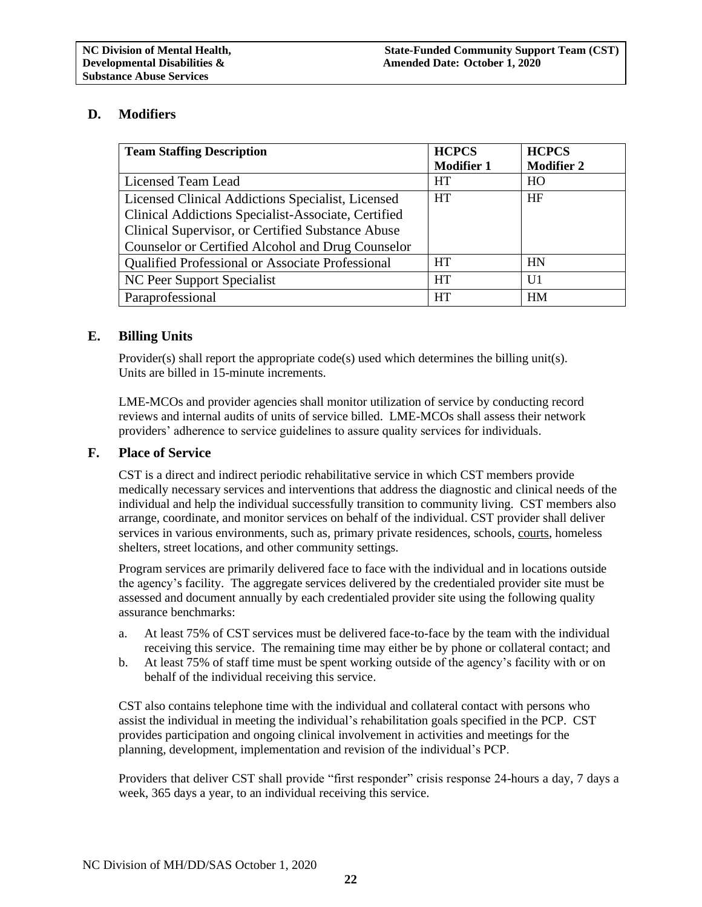# <span id="page-21-0"></span>**D. Modifiers**

| <b>Team Staffing Description</b>                    | <b>HCPCS</b>      | <b>HCPCS</b>      |
|-----------------------------------------------------|-------------------|-------------------|
|                                                     | <b>Modifier 1</b> | <b>Modifier 2</b> |
| Licensed Team Lead                                  | <b>HT</b>         | HO                |
| Licensed Clinical Addictions Specialist, Licensed   | <b>HT</b>         | HF                |
| Clinical Addictions Specialist-Associate, Certified |                   |                   |
| Clinical Supervisor, or Certified Substance Abuse   |                   |                   |
| Counselor or Certified Alcohol and Drug Counselor   |                   |                   |
| Qualified Professional or Associate Professional    | <b>HT</b>         | HN                |
| NC Peer Support Specialist                          | <b>HT</b>         | U1                |
| Paraprofessional                                    | <b>HT</b>         | <b>HM</b>         |

# <span id="page-21-1"></span>**E. Billing Units**

Provider(s) shall report the appropriate code(s) used which determines the billing unit(s). Units are billed in 15-minute increments.

LME-MCOs and provider agencies shall monitor utilization of service by conducting record reviews and internal audits of units of service billed. LME-MCOs shall assess their network providers' adherence to service guidelines to assure quality services for individuals.

### <span id="page-21-2"></span>**F. Place of Service**

CST is a direct and indirect periodic rehabilitative service in which CST members provide medically necessary services and interventions that address the diagnostic and clinical needs of the individual and help the individual successfully transition to community living. CST members also arrange, coordinate, and monitor services on behalf of the individual. CST provider shall deliver services in various environments, such as, primary private residences, schools, courts, homeless shelters, street locations, and other community settings.

Program services are primarily delivered face to face with the individual and in locations outside the agency's facility. The aggregate services delivered by the credentialed provider site must be assessed and document annually by each credentialed provider site using the following quality assurance benchmarks:

- a. At least 75% of CST services must be delivered face-to-face by the team with the individual receiving this service. The remaining time may either be by phone or collateral contact; and
- b. At least 75% of staff time must be spent working outside of the agency's facility with or on behalf of the individual receiving this service.

CST also contains telephone time with the individual and collateral contact with persons who assist the individual in meeting the individual's rehabilitation goals specified in the PCP. CST provides participation and ongoing clinical involvement in activities and meetings for the planning, development, implementation and revision of the individual's PCP.

Providers that deliver CST shall provide "first responder" crisis response 24-hours a day, 7 days a week, 365 days a year, to an individual receiving this service.